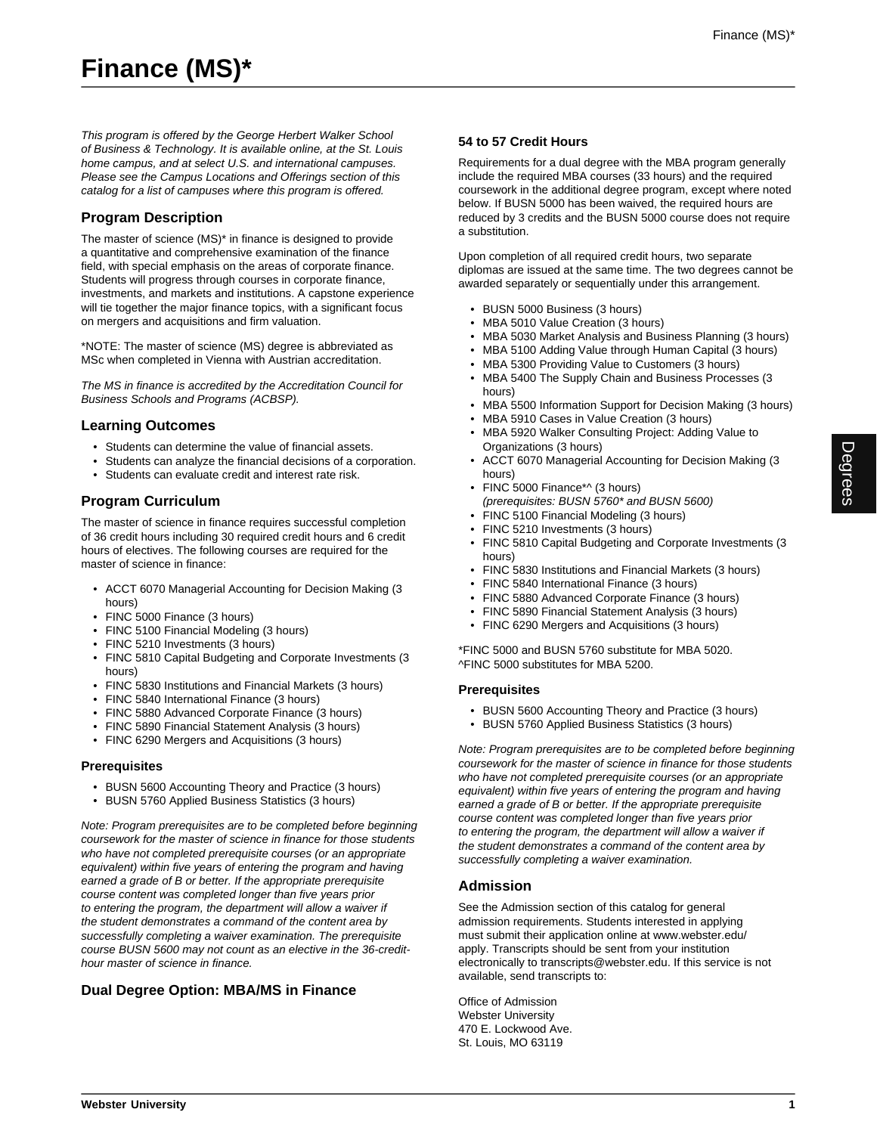This program is offered by the George Herbert Walker School of Business & Technology. It is available online, at the St. Louis home campus, and at select U.S. and international campuses. Please see the Campus Locations and Offerings section of this catalog for a list of campuses where this program is offered.

# **Program Description**

The master of science (MS)\* in finance is designed to provide a quantitative and comprehensive examination of the finance field, with special emphasis on the areas of corporate finance. Students will progress through courses in corporate finance, investments, and markets and institutions. A capstone experience will tie together the major finance topics, with a significant focus on mergers and acquisitions and firm valuation.

\*NOTE: The master of science (MS) degree is abbreviated as MSc when completed in Vienna with Austrian accreditation.

The MS in finance is accredited by the Accreditation Council for Business Schools and Programs (ACBSP).

## **Learning Outcomes**

- Students can determine the value of financial assets.
- Students can analyze the financial decisions of a corporation.
- Students can evaluate credit and interest rate risk.

## **Program Curriculum**

The master of science in finance requires successful completion of 36 credit hours including 30 required credit hours and 6 credit hours of electives. The following courses are required for the master of science in finance:

- ACCT 6070 Managerial Accounting for Decision Making (3 hours)
- FINC 5000 Finance (3 hours)
- FINC 5100 Financial Modeling (3 hours)
- FINC 5210 Investments (3 hours)
- FINC 5810 Capital Budgeting and Corporate Investments (3 hours)
- FINC 5830 Institutions and Financial Markets (3 hours)
- FINC 5840 International Finance (3 hours)
- FINC 5880 Advanced Corporate Finance (3 hours)
- FINC 5890 Financial Statement Analysis (3 hours)
- FINC 6290 Mergers and Acquisitions (3 hours)

#### **Prerequisites**

- BUSN 5600 Accounting Theory and Practice (3 hours)
- BUSN 5760 Applied Business Statistics (3 hours)

Note: Program prerequisites are to be completed before beginning coursework for the master of science in finance for those students who have not completed prerequisite courses (or an appropriate equivalent) within five years of entering the program and having earned a grade of B or better. If the appropriate prerequisite course content was completed longer than five years prior to entering the program, the department will allow a waiver if the student demonstrates a command of the content area by successfully completing a waiver examination. The prerequisite course BUSN 5600 may not count as an elective in the 36-credithour master of science in finance.

# **Dual Degree Option: MBA/MS in Finance**

## **54 to 57 Credit Hours**

Requirements for a dual degree with the MBA program generally include the required MBA courses (33 hours) and the required coursework in the additional degree program, except where noted below. If BUSN 5000 has been waived, the required hours are reduced by 3 credits and the BUSN 5000 course does not require a substitution.

Upon completion of all required credit hours, two separate diplomas are issued at the same time. The two degrees cannot be awarded separately or sequentially under this arrangement.

- BUSN 5000 Business (3 hours)
- MBA 5010 Value Creation (3 hours)
- MBA 5030 Market Analysis and Business Planning (3 hours)
- MBA 5100 Adding Value through Human Capital (3 hours)
- MBA 5300 Providing Value to Customers (3 hours)
- MBA 5400 The Supply Chain and Business Processes (3 hours)
- MBA 5500 Information Support for Decision Making (3 hours)
- MBA 5910 Cases in Value Creation (3 hours) • MBA 5920 Walker Consulting Project: Adding Value to
- Organizations (3 hours)
- ACCT 6070 Managerial Accounting for Decision Making (3 hours)
- FINC 5000 Finance\*^ (3 hours) (prerequisites: BUSN 5760\* and BUSN 5600)
- FINC 5100 Financial Modeling (3 hours)
- FINC 5210 Investments (3 hours)
- FINC 5810 Capital Budgeting and Corporate Investments (3 hours)
- FINC 5830 Institutions and Financial Markets (3 hours)
- FINC 5840 International Finance (3 hours)
- FINC 5880 Advanced Corporate Finance (3 hours)
- FINC 5890 Financial Statement Analysis (3 hours)
- FINC 6290 Mergers and Acquisitions (3 hours)

\*FINC 5000 and BUSN 5760 substitute for MBA 5020. ^FINC 5000 substitutes for MBA 5200.

#### **Prerequisites**

- BUSN 5600 Accounting Theory and Practice (3 hours)
- BUSN 5760 Applied Business Statistics (3 hours)

Note: Program prerequisites are to be completed before beginning coursework for the master of science in finance for those students who have not completed prerequisite courses (or an appropriate equivalent) within five years of entering the program and having earned a grade of B or better. If the appropriate prerequisite course content was completed longer than five years prior to entering the program, the department will allow a waiver if the student demonstrates a command of the content area by successfully completing a waiver examination.

## **Admission**

See the Admission section of this catalog for general admission requirements. Students interested in applying must submit their application online at www.webster.edu/ apply. Transcripts should be sent from your institution electronically to transcripts@webster.edu. If this service is not available, send transcripts to:

Office of Admission Webster University 470 E. Lockwood Ave. St. Louis, MO 63119